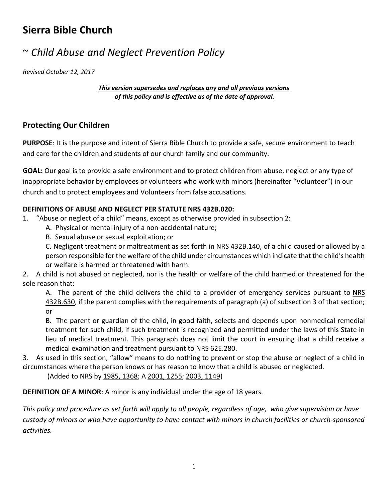## **Sierra Bible Church**

# ~ *Child Abuse and Neglect Prevention Policy*

*Revised October 12, 2017*

*This version supersedes and replaces any and all previous versions of this policy and is effective as of the date of approval.*

## **Protecting Our Children**

**PURPOSE**: It is the purpose and intent of Sierra Bible Church to provide a safe, secure environment to teach and care for the children and students of our church family and our community.

**GOAL:** Our goal is to provide a safe environment and to protect children from abuse, neglect or any type of inappropriate behavior by employees or volunteers who work with minors (hereinafter "Volunteer") in our church and to protect employees and Volunteers from false accusations.

### **DEFINITIONS OF ABUSE AND NEGLECT PER STATUTE NRS 432B.020:**

- 1. "Abuse or neglect of a child" means, except as otherwise provided in subsection 2:
	- A. Physical or mental injury of a non-accidental nature;
	- B. Sexual abuse or sexual exploitation; or

C. Negligent treatment or maltreatment as set forth in [NRS 432B.140,](https://www.leg.state.nv.us/NRS/NRS-432B.html#NRS432BSec140) of a child caused or allowed by a person responsible for the welfare of the child under circumstances which indicate that the child's health or welfare is harmed or threatened with harm.

2. A child is not abused or neglected, nor is the health or welfare of the child harmed or threatened for the sole reason that:

A. The parent of the child delivers the child to a provider of emergency services pursuant to NRS [432B.630,](https://www.leg.state.nv.us/NRS/NRS-432B.html#NRS432BSec630) if the parent complies with the requirements of paragraph (a) of subsection 3 of that section; or

B. The parent or guardian of the child, in good faith, selects and depends upon nonmedical remedial treatment for such child, if such treatment is recognized and permitted under the laws of this State in lieu of medical treatment. This paragraph does not limit the court in ensuring that a child receive a medical examination and treatment pursuant to [NRS 62E.280.](https://www.leg.state.nv.us/NRS/NRS-062E.html#NRS062ESec280)

3. As used in this section, "allow" means to do nothing to prevent or stop the abuse or neglect of a child in circumstances where the person knows or has reason to know that a child is abused or neglected.

(Added to NRS by [1985, 1368;](https://www.leg.state.nv.us/Statutes/63rd/Stats198506.html#Stats198506page1368) A [2001, 1255;](https://www.leg.state.nv.us/Statutes/71st/Stats200109.html#Stats200109page1255) [2003, 1149\)](https://www.leg.state.nv.us/Statutes/72nd/Stats200308.html#Stats200308page1149)

**DEFINITION OF A MINOR**: A minor is any individual under the age of 18 years.

*This policy and procedure as set forth will apply to all people, regardless of age, who give supervision or have custody of minors or who have opportunity to have contact with minors in church facilities or church-sponsored activities.*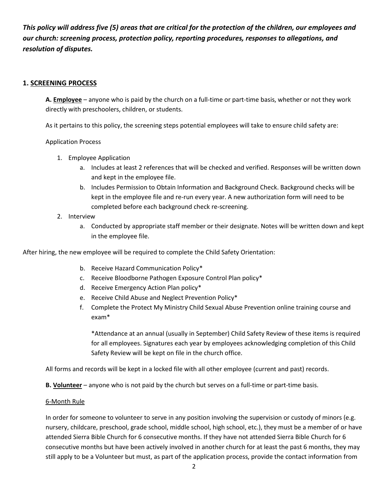*This policy will address five (5) areas that are critical for the protection of the children, our employees and our church: screening process, protection policy, reporting procedures, responses to allegations, and resolution of disputes.* 

#### **1. SCREENING PROCESS**

**A. Employee** – anyone who is paid by the church on a full-time or part-time basis, whether or not they work directly with preschoolers, children, or students.

As it pertains to this policy, the screening steps potential employees will take to ensure child safety are:

#### Application Process

- 1. Employee Application
	- a. Includes at least 2 references that will be checked and verified. Responses will be written down and kept in the employee file.
	- b. Includes Permission to Obtain Information and Background Check. Background checks will be kept in the employee file and re-run every year. A new authorization form will need to be completed before each background check re-screening.
- 2. Interview
	- a. Conducted by appropriate staff member or their designate. Notes will be written down and kept in the employee file.

After hiring, the new employee will be required to complete the Child Safety Orientation:

- b. Receive Hazard Communication Policy\*
- c. Receive Bloodborne Pathogen Exposure Control Plan policy\*
- d. Receive Emergency Action Plan policy\*
- e. Receive Child Abuse and Neglect Prevention Policy\*
- f. Complete the Protect My Ministry Child Sexual Abuse Prevention online training course and exam\*

\*Attendance at an annual (usually in September) Child Safety Review of these items is required for all employees. Signatures each year by employees acknowledging completion of this Child Safety Review will be kept on file in the church office.

All forms and records will be kept in a locked file with all other employee (current and past) records.

**B. Volunteer** – anyone who is not paid by the church but serves on a full-time or part-time basis.

#### 6-Month Rule

In order for someone to volunteer to serve in any position involving the supervision or custody of minors (e.g. nursery, childcare, preschool, grade school, middle school, high school, etc.), they must be a member of or have attended Sierra Bible Church for 6 consecutive months. If they have not attended Sierra Bible Church for 6 consecutive months but have been actively involved in another church for at least the past 6 months, they may still apply to be a Volunteer but must, as part of the application process, provide the contact information from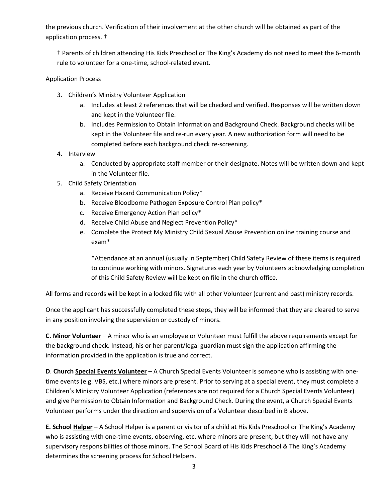the previous church. Verification of their involvement at the other church will be obtained as part of the application process. †

† Parents of children attending His Kids Preschool or The King's Academy do not need to meet the 6-month rule to volunteer for a one-time, school-related event.

Application Process

- 3. Children's Ministry Volunteer Application
	- a. Includes at least 2 references that will be checked and verified. Responses will be written down and kept in the Volunteer file.
	- b. Includes Permission to Obtain Information and Background Check. Background checks will be kept in the Volunteer file and re-run every year. A new authorization form will need to be completed before each background check re-screening.
- 4. Interview
	- a. Conducted by appropriate staff member or their designate. Notes will be written down and kept in the Volunteer file.
- 5. Child Safety Orientation
	- a. Receive Hazard Communication Policy\*
	- b. Receive Bloodborne Pathogen Exposure Control Plan policy\*
	- c. Receive Emergency Action Plan policy\*
	- d. Receive Child Abuse and Neglect Prevention Policy\*
	- e. Complete the Protect My Ministry Child Sexual Abuse Prevention online training course and exam\*

\*Attendance at an annual (usually in September) Child Safety Review of these items is required to continue working with minors. Signatures each year by Volunteers acknowledging completion of this Child Safety Review will be kept on file in the church office.

All forms and records will be kept in a locked file with all other Volunteer (current and past) ministry records.

Once the applicant has successfully completed these steps, they will be informed that they are cleared to serve in any position involving the supervision or custody of minors.

**C. Minor Volunteer** – A minor who is an employee or Volunteer must fulfill the above requirements except for the background check. Instead, his or her parent/legal guardian must sign the application affirming the information provided in the application is true and correct.

**D**. **Church Special Events Volunteer** – A Church Special Events Volunteer is someone who is assisting with onetime events (e.g. VBS, etc.) where minors are present. Prior to serving at a special event, they must complete a Children's Ministry Volunteer Application (references are not required for a Church Special Events Volunteer) and give Permission to Obtain Information and Background Check. During the event, a Church Special Events Volunteer performs under the direction and supervision of a Volunteer described in B above.

**E. School Helper –** A School Helper is a parent or visitor of a child at His Kids Preschool or The King's Academy who is assisting with one-time events, observing, etc. where minors are present, but they will not have any supervisory responsibilities of those minors. The School Board of His Kids Preschool & The King's Academy determines the screening process for School Helpers.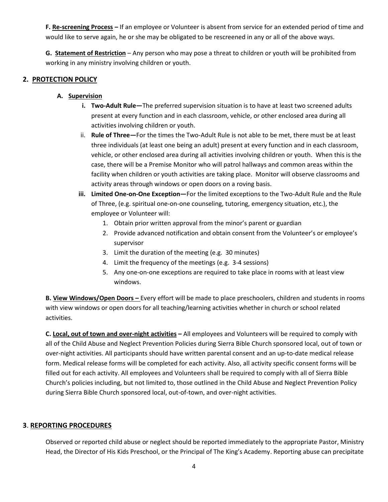**F. Re-screening Process –** If an employee or Volunteer is absent from service for an extended period of time and would like to serve again, he or she may be obligated to be rescreened in any or all of the above ways.

**G. Statement of Restriction** – Any person who may pose a threat to children or youth will be prohibited from working in any ministry involving children or youth.

#### **2. PROTECTION POLICY**

#### **A. Supervision**

- **i. Two-Adult Rule—**The preferred supervision situation is to have at least two screened adults present at every function and in each classroom, vehicle, or other enclosed area during all activities involving children or youth.
- ii. **Rule of Three—**For the times the Two-Adult Rule is not able to be met, there must be at least three individuals (at least one being an adult) present at every function and in each classroom, vehicle, or other enclosed area during all activities involving children or youth. When this is the case, there will be a Premise Monitor who will patrol hallways and common areas within the facility when children or youth activities are taking place. Monitor will observe classrooms and activity areas through windows or open doors on a roving basis.
- **iii. Limited One-on-One Exception—**For the limited exceptions to the Two-Adult Rule and the Rule of Three, (e.g. spiritual one-on-one counseling, tutoring, emergency situation, etc.), the employee or Volunteer will:
	- 1. Obtain prior written approval from the minor's parent or guardian
	- 2. Provide advanced notification and obtain consent from the Volunteer's or employee's supervisor
	- 3. Limit the duration of the meeting (e.g. 30 minutes)
	- 4. Limit the frequency of the meetings (e.g. 3-4 sessions)
	- 5. Any one-on-one exceptions are required to take place in rooms with at least view windows.

**B. View Windows/Open Doors –** Every effort will be made to place preschoolers, children and students in rooms with view windows or open doors for all teaching/learning activities whether in church or school related activities.

**C. Local, out of town and over-night activities –** All employees and Volunteers will be required to comply with all of the Child Abuse and Neglect Prevention Policies during Sierra Bible Church sponsored local, out of town or over-night activities. All participants should have written parental consent and an up-to-date medical release form. Medical release forms will be completed for each activity. Also, all activity specific consent forms will be filled out for each activity. All employees and Volunteers shall be required to comply with all of Sierra Bible Church's policies including, but not limited to, those outlined in the Child Abuse and Neglect Prevention Policy during Sierra Bible Church sponsored local, out-of-town, and over-night activities.

#### **3**. **REPORTING PROCEDURES**

Observed or reported child abuse or neglect should be reported immediately to the appropriate Pastor, Ministry Head, the Director of His Kids Preschool, or the Principal of The King's Academy. Reporting abuse can precipitate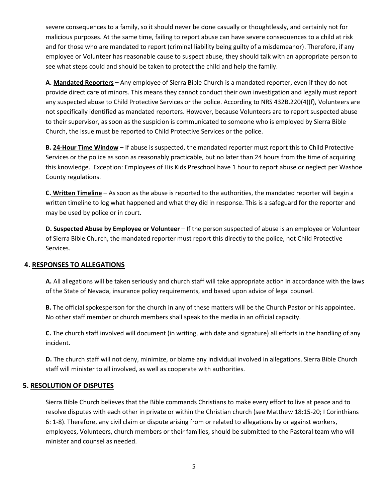severe consequences to a family, so it should never be done casually or thoughtlessly, and certainly not for malicious purposes. At the same time, failing to report abuse can have severe consequences to a child at risk and for those who are mandated to report (criminal liability being guilty of a misdemeanor). Therefore, if any employee or Volunteer has reasonable cause to suspect abuse, they should talk with an appropriate person to see what steps could and should be taken to protect the child and help the family.

**A. Mandated Reporters –** Any employee of Sierra Bible Church is a mandated reporter, even if they do not provide direct care of minors. This means they cannot conduct their own investigation and legally must report any suspected abuse to Child Protective Services or the police. According to NRS 432B.220(4)(f), Volunteers are not specifically identified as mandated reporters. However, because Volunteers are to report suspected abuse to their supervisor, as soon as the suspicion is communicated to someone who is employed by Sierra Bible Church, the issue must be reported to Child Protective Services or the police.

**B. 24-Hour Time Window –** If abuse is suspected, the mandated reporter must report this to Child Protective Services or the police as soon as reasonably practicable, but no later than 24 hours from the time of acquiring this knowledge. Exception: Employees of His Kids Preschool have 1 hour to report abuse or neglect per Washoe County regulations.

**C. Written Timeline** – As soon as the abuse is reported to the authorities, the mandated reporter will begin a written timeline to log what happened and what they did in response. This is a safeguard for the reporter and may be used by police or in court.

**D. Suspected Abuse by Employee or Volunteer** – If the person suspected of abuse is an employee or Volunteer of Sierra Bible Church, the mandated reporter must report this directly to the police, not Child Protective Services.

#### **4. RESPONSES TO ALLEGATIONS**

**A.** All allegations will be taken seriously and church staff will take appropriate action in accordance with the laws of the State of Nevada, insurance policy requirements, and based upon advice of legal counsel.

**B.** The official spokesperson for the church in any of these matters will be the Church Pastor or his appointee. No other staff member or church members shall speak to the media in an official capacity.

**C.** The church staff involved will document (in writing, with date and signature) all efforts in the handling of any incident.

**D.** The church staff will not deny, minimize, or blame any individual involved in allegations. Sierra Bible Church staff will minister to all involved, as well as cooperate with authorities.

#### **5. RESOLUTION OF DISPUTES**

Sierra Bible Church believes that the Bible commands Christians to make every effort to live at peace and to resolve disputes with each other in private or within the Christian church (see Matthew 18:15-20; I Corinthians 6: 1-8). Therefore, any civil claim or dispute arising from or related to allegations by or against workers, employees, Volunteers, church members or their families, should be submitted to the Pastoral team who will minister and counsel as needed.